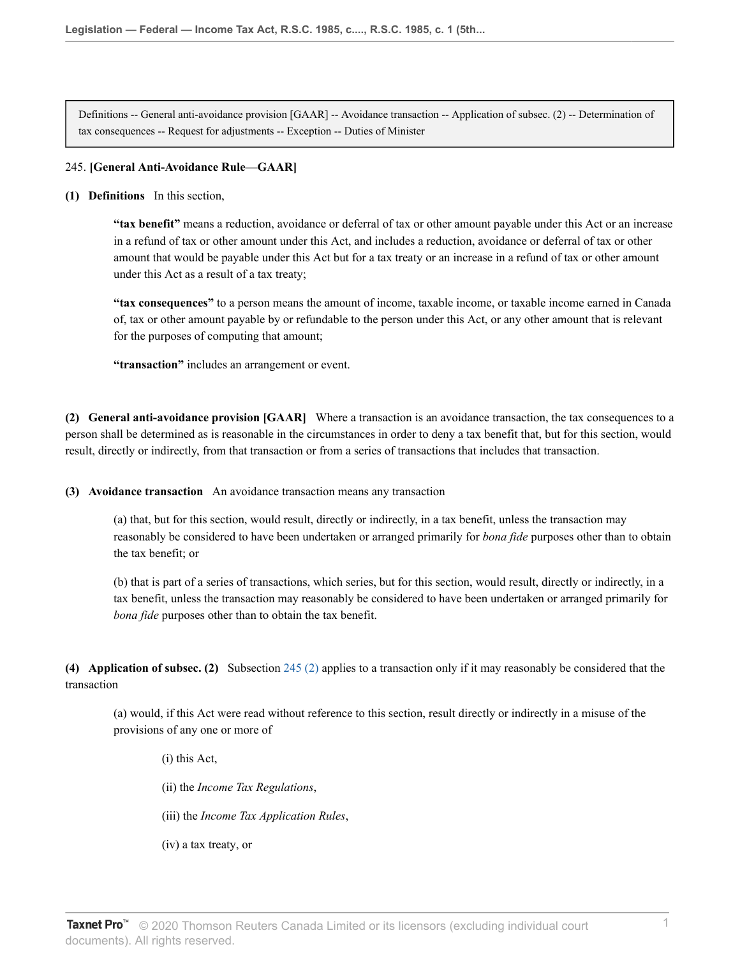Definitions -- General anti-avoidance provision [GAAR] -- Avoidance transaction -- Application of subsec. (2) -- Determination of tax consequences -- Request for adjustments -- Exception -- Duties of Minister

## 245. **[General Anti-Avoidance Rule—GAAR]**

**(1) Definitions** In this section,

**"tax benefit"** means a reduction, avoidance or deferral of tax or other amount payable under this Act or an increase in a refund of tax or other amount under this Act, and includes a reduction, avoidance or deferral of tax or other amount that would be payable under this Act but for a tax treaty or an increase in a refund of tax or other amount under this Act as a result of a tax treaty;

**"tax consequences"** to a person means the amount of income, taxable income, or taxable income earned in Canada of, tax or other amount payable by or refundable to the person under this Act, or any other amount that is relevant for the purposes of computing that amount;

**"transaction"** includes an arrangement or event.

**(2) General anti-avoidance provision [GAAR]** Where a transaction is an avoidance transaction, the tax consequences to a person shall be determined as is reasonable in the circumstances in order to deny a tax benefit that, but for this section, would result, directly or indirectly, from that transaction or from a series of transactions that includes that transaction.

**(3) Avoidance transaction** An avoidance transaction means any transaction

(a) that, but for this section, would result, directly or indirectly, in a tax benefit, unless the transaction may reasonably be considered to have been undertaken or arranged primarily for *bona fide* purposes other than to obtain the tax benefit; or

(b) that is part of a series of transactions, which series, but for this section, would result, directly or indirectly, in a tax benefit, unless the transaction may reasonably be considered to have been undertaken or arranged primarily for *bona fide* purposes other than to obtain the tax benefit.

**(4) Application of subsec. (2)** Subsection [245 \(2\)](http://v3.taxnetpro.com/Document/I8d8f38d80713343de0440003ba833f85/View/FullText.html?originationContext=document&vr=3.0&rs=cblt1.0&transitionType=DocumentItem&contextData=(sc.Search)&pinpointLinkFromDocLink=RSC1985c1s5_245_2_) applies to a transaction only if it may reasonably be considered that the transaction

(a) would, if this Act were read without reference to this section, result directly or indirectly in a misuse of the provisions of any one or more of

(i) this Act, (ii) the *Income Tax Regulations*, (iii) the *Income Tax Application Rules*, (iv) a tax treaty, or